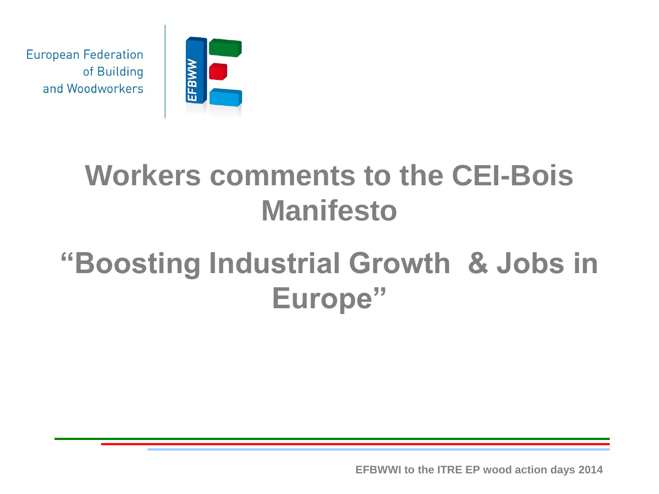

#### **Workers comments to the CEI-Bois Manifesto**

### **"Boosting Industrial Growth & Jobs in Europe"**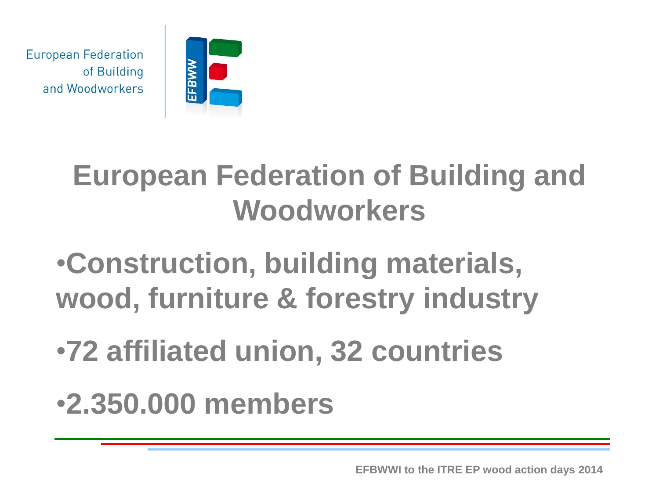

#### **European Federation of Building and Woodworkers**

## •**Construction, building materials, wood, furniture & forestry industry**

## •**72 affiliated union, 32 countries**

#### •**2.350.000 members**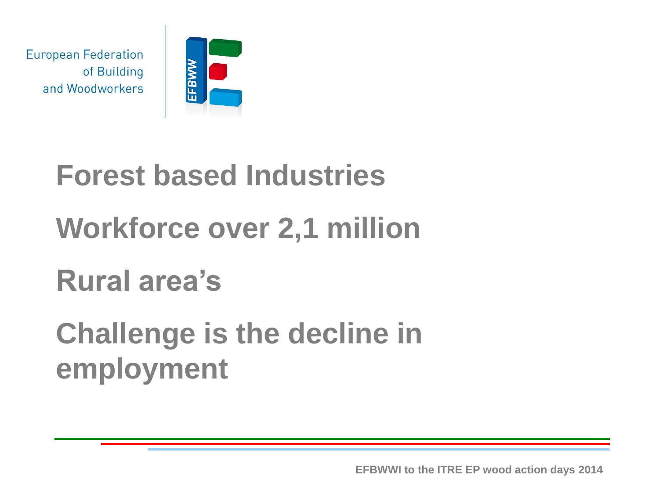

# **Forest based Industries Workforce over 2,1 million Rural area's Challenge is the decline in employment**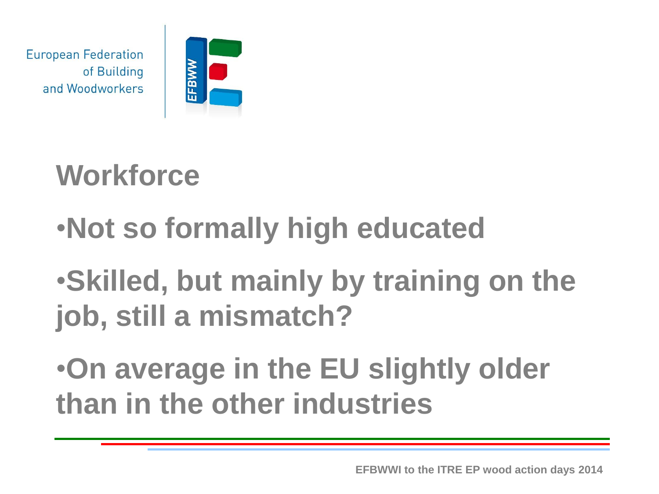

# **Workforce**

# •**Not so formally high educated**

•**Skilled, but mainly by training on the job, still a mismatch?**

•**On average in the EU slightly older than in the other industries**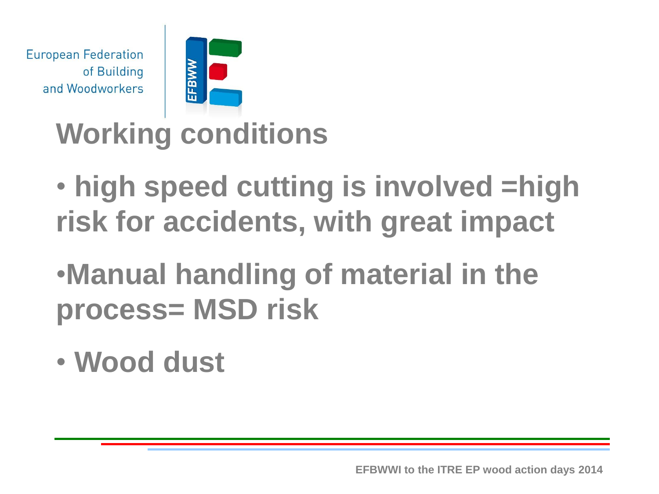

#### **Working conditions**

- **high speed cutting is involved =high risk for accidents, with great impact**
- •**Manual handling of material in the process= MSD risk**
- **Wood dust**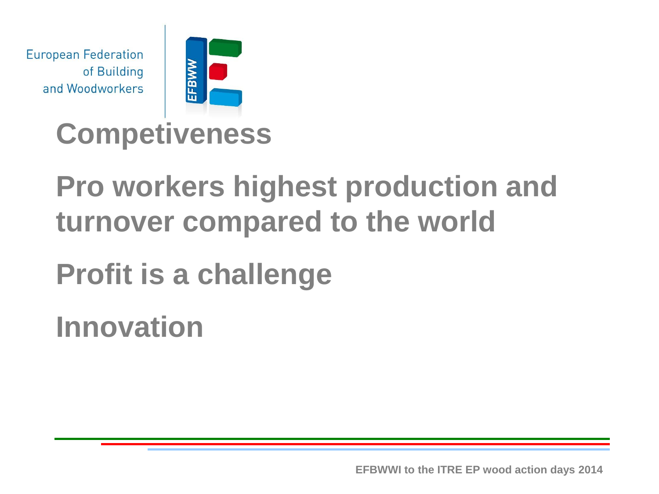

#### **Competiveness**

#### **Pro workers highest production and turnover compared to the world**

**Profit is a challenge**

**Innovation**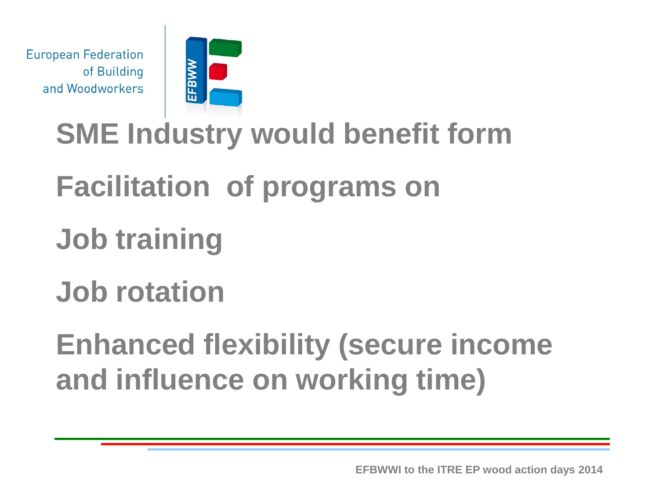

### **SME Industry would benefit form**

#### **Facilitation of programs on**

### **Job training**

#### **Job rotation**

**Enhanced flexibility (secure income and influence on working time)**